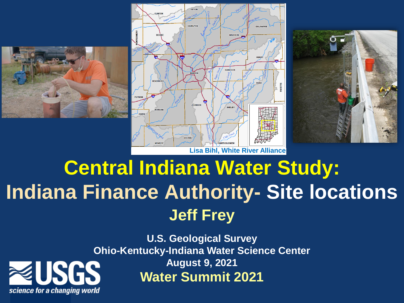





# **Central Indiana Water Study: Indiana Finance Authority- Site locations Jeff Frey**

**U.S. Geological Survey Ohio-Kentucky-Indiana Water Science Center August 9, 2021 Water Summit 2021**

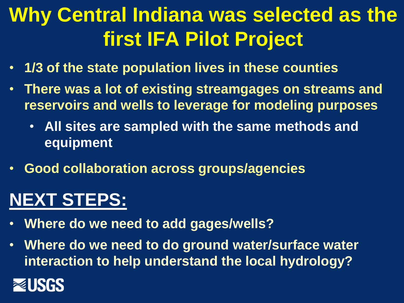# **Why Central Indiana was selected as the first IFA Pilot Project**

- **1/3 of the state population lives in these counties**
- **There was a lot of existing streamgages on streams and reservoirs and wells to leverage for modeling purposes**
	- **All sites are sampled with the same methods and equipment**
- **Good collaboration across groups/agencies**

## **NEXT STEPS:**

- **Where do we need to add gages/wells?**
- **Where do we need to do ground water/surface water interaction to help understand the local hydrology?**

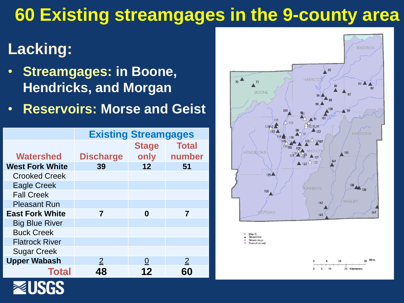## **60 Existing streamgages in the 9-county area**

### **Lacking:**

- **Streamgages: in Boone, Hendricks, and Morgan**
- **Reservoirs: Morse and Geist**

|                        | <b>Existing Streamgages</b> |              |                |
|------------------------|-----------------------------|--------------|----------------|
|                        |                             | <b>Stage</b> | <b>Total</b>   |
| <b>Watershed</b>       | <b>Discharge</b>            | only         | number         |
| <b>West Fork White</b> | 39                          | 12           | 51             |
| <b>Crooked Creek</b>   |                             |              |                |
| <b>Eagle Creek</b>     |                             |              |                |
| <b>Fall Creek</b>      |                             |              |                |
| <b>Pleasant Run</b>    |                             |              |                |
| <b>East Fork White</b> | 7                           | 0            | 7              |
| <b>Big Blue River</b>  |                             |              |                |
| <b>Buck Creek</b>      |                             |              |                |
| <b>Flatrock River</b>  |                             |              |                |
| <b>Sugar Creek</b>     |                             |              |                |
| <b>Upper Wabash</b>    | $\overline{2}$              |              | $\overline{2}$ |
| <b>Total</b>           | 48                          | 12           |                |



20 Miles

 $10<sub>1</sub>$ 

20 Kilometers

5 5  $10$ 

18 Map ID<br>A Streamflow

 $\triangle$  Stream stage

56 Years of record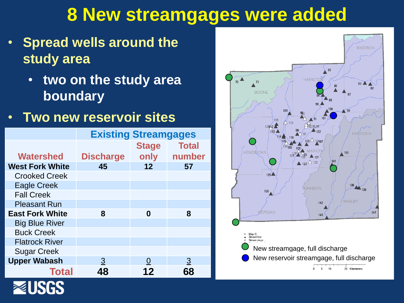## **8 New streamgages were added**

- **Spread wells around the study area** 
	- **two on the study area boundary**
- **Two new reservoir sites**

|                        | <b>Existing Streamgages</b> |              |                |
|------------------------|-----------------------------|--------------|----------------|
|                        |                             | <b>Stage</b> | <b>Total</b>   |
| <b>Watershed</b>       | <b>Discharge</b>            | only         | number         |
| <b>West Fork White</b> | 45                          | 12           | 57             |
| <b>Crooked Creek</b>   |                             |              |                |
| <b>Eagle Creek</b>     |                             |              |                |
| <b>Fall Creek</b>      |                             |              |                |
| <b>Pleasant Run</b>    |                             |              |                |
| <b>East Fork White</b> | 8                           | 0            | 8              |
| <b>Big Blue River</b>  |                             |              |                |
| <b>Buck Creek</b>      |                             |              |                |
| <b>Flatrock River</b>  |                             |              |                |
| <b>Sugar Creek</b>     |                             |              |                |
| <b>Upper Wabash</b>    | $\overline{3}$              | O            | $\overline{3}$ |
| <b>Total</b>           | 48                          | 12           | 68             |

USGS

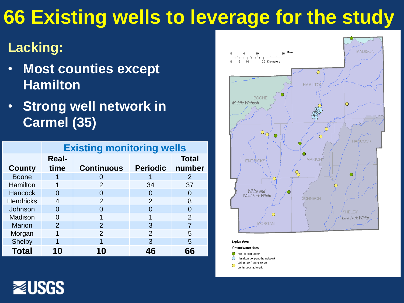# **66 Existing wells to leverage for the study**

#### **Lacking:**

- **Most counties except Hamilton**
- **Strong well network in Carmel (35)**

|                  | <b>Existing monitoring wells</b> |                   |                   |                |
|------------------|----------------------------------|-------------------|-------------------|----------------|
|                  | <b>Real-</b>                     |                   |                   | <b>Total</b>   |
| County           | time                             | <b>Continuous</b> | <b>Periodic</b>   | number         |
| <b>Boone</b>     |                                  | $\mathbf{\Omega}$ |                   | $\overline{2}$ |
| Hamilton         |                                  | 2                 | 34                | 37             |
| Hancock          | O                                | $\mathbf{\Omega}$ | $\mathbf{\Omega}$ | 0              |
| <b>Hendricks</b> | 4                                | $\mathcal{P}$     | $\mathcal{P}$     | 8              |
| Johnson          | 0                                |                   | $\mathbf{\Omega}$ | O              |
| Madison          | 0                                | 1                 | 1                 | $\mathcal{P}$  |
| <b>Marion</b>    | $\overline{2}$                   | 2                 | 3                 | 7              |
| Morgan           | 1                                | 2                 | 2                 | 5              |
| <b>Shelby</b>    |                                  |                   | 3                 | 5              |
| <b>Total</b>     | 10                               | 10                | 46                | 66             |



**Explanation** 

**Groundwater sites** 

- Real-time monitor
- Hamilton Co. periodic network
- Volunteer Groundwater  $\bigcirc$ continuous network

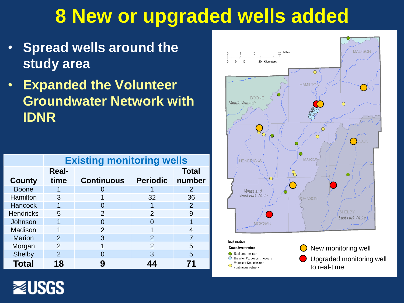## **8 New or upgraded wells added**

- **Spread wells around the study area**
- **Expanded the Volunteer Groundwater Network with IDNR**

|                  | <b>Existing monitoring wells</b> |                   |                 |                |
|------------------|----------------------------------|-------------------|-----------------|----------------|
|                  | <b>Real-</b>                     |                   |                 | <b>Total</b>   |
| <b>County</b>    | time                             | <b>Continuous</b> | <b>Periodic</b> | number         |
| <b>Boone</b>     |                                  |                   |                 | 2              |
| Hamilton         | 3                                |                   | 32              | 36             |
| <b>Hancock</b>   | 1                                |                   |                 | $\overline{2}$ |
| <b>Hendricks</b> | 5                                | $\mathcal{P}$     | $\mathcal{P}$   | 9              |
| Johnson          |                                  |                   |                 | 1              |
| Madison          | 1                                | 2                 |                 | 4              |
| <b>Marion</b>    | $\mathcal{P}$                    | 3                 | $\overline{2}$  |                |
| Morgan           | 2                                |                   | $\mathcal{P}$   | 5              |
| <b>Shelby</b>    | $\mathcal{P}$                    | $\Gamma$          | 3               | 5              |
| <b>Total</b>     | 18                               |                   |                 | 71             |



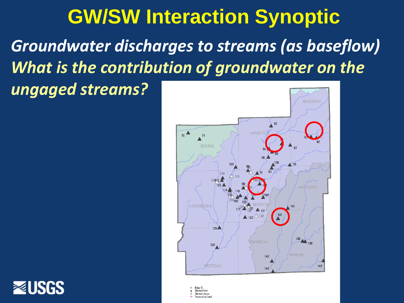# **GW/SW Interaction Synoptic** *Groundwater discharges to streams (as baseflow) What is the contribution of groundwater on the ungaged streams?*





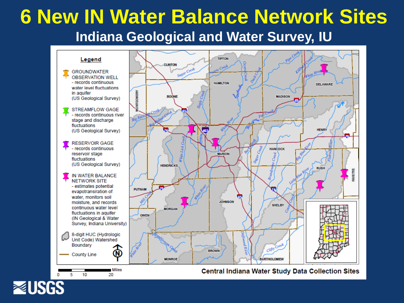#### **6 New IN Water Balance Network Sites Indiana Geological and Water Survey, IU**



**NUSGS**